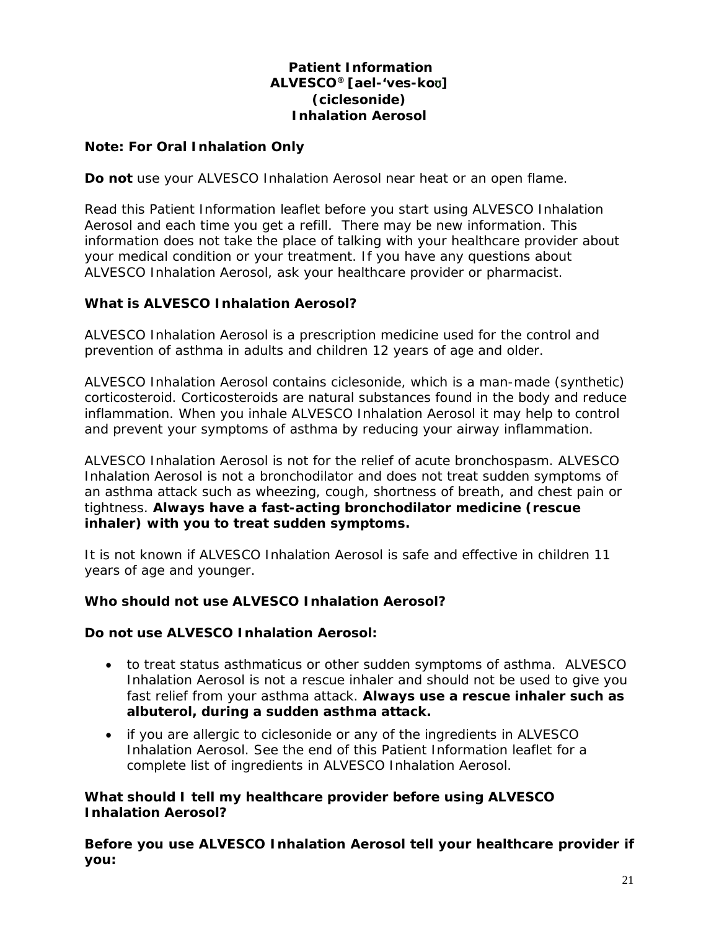# **Patient Information ALVESCO® [ael-'ves-ko**ʊ**] (ciclesonide) Inhalation Aerosol**

## **Note: For Oral Inhalation Only**

**Do not** use your ALVESCO Inhalation Aerosol near heat or an open flame.

Read this Patient Information leaflet before you start using ALVESCO Inhalation Aerosol and each time you get a refill. There may be new information. This information does not take the place of talking with your healthcare provider about your medical condition or your treatment. If you have any questions about ALVESCO Inhalation Aerosol, ask your healthcare provider or pharmacist.

## **What is ALVESCO Inhalation Aerosol?**

ALVESCO Inhalation Aerosol is a prescription medicine used for the control and prevention of asthma in adults and children 12 years of age and older.

ALVESCO Inhalation Aerosol contains ciclesonide, which is a man-made (synthetic) corticosteroid. Corticosteroids are natural substances found in the body and reduce inflammation. When you inhale ALVESCO Inhalation Aerosol it may help to control and prevent your symptoms of asthma by reducing your airway inflammation.

ALVESCO Inhalation Aerosol is not for the relief of acute bronchospasm. ALVESCO Inhalation Aerosol is not a bronchodilator and does not treat sudden symptoms of an asthma attack such as wheezing, cough, shortness of breath, and chest pain or tightness. **Always have a fast-acting bronchodilator medicine (rescue inhaler) with you to treat sudden symptoms.**

It is not known if ALVESCO Inhalation Aerosol is safe and effective in children 11 years of age and younger.

### **Who should not use ALVESCO Inhalation Aerosol?**

### **Do not use ALVESCO Inhalation Aerosol:**

- to treat status asthmaticus or other sudden symptoms of asthma. ALVESCO Inhalation Aerosol is not a rescue inhaler and should not be used to give you fast relief from your asthma attack. **Always use a rescue inhaler such as albuterol, during a sudden asthma attack.**
- if you are allergic to ciclesonide or any of the ingredients in ALVESCO Inhalation Aerosol. See the end of this Patient Information leaflet for a complete list of ingredients in ALVESCO Inhalation Aerosol.

### **What should I tell my healthcare provider before using ALVESCO Inhalation Aerosol?**

**Before you use ALVESCO Inhalation Aerosol tell your healthcare provider if you:**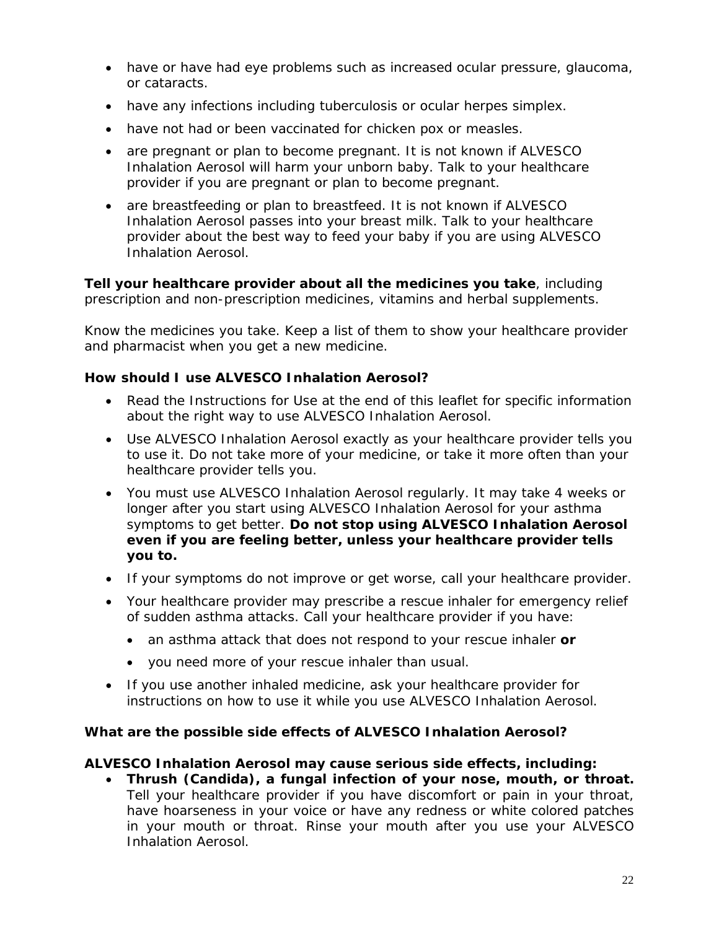- have or have had eye problems such as increased ocular pressure, glaucoma, or cataracts.
- have any infections including tuberculosis or ocular herpes simplex.
- have not had or been vaccinated for chicken pox or measles.
- are pregnant or plan to become pregnant. It is not known if ALVESCO Inhalation Aerosol will harm your unborn baby. Talk to your healthcare provider if you are pregnant or plan to become pregnant.
- are breastfeeding or plan to breastfeed. It is not known if ALVESCO Inhalation Aerosol passes into your breast milk. Talk to your healthcare provider about the best way to feed your baby if you are using ALVESCO Inhalation Aerosol.

**Tell your healthcare provider about all the medicines you take**, including prescription and non-prescription medicines, vitamins and herbal supplements.

Know the medicines you take. Keep a list of them to show your healthcare provider and pharmacist when you get a new medicine.

# **How should I use ALVESCO Inhalation Aerosol?**

- Read the Instructions for Use at the end of this leaflet for specific information about the right way to use ALVESCO Inhalation Aerosol.
- Use ALVESCO Inhalation Aerosol exactly as your healthcare provider tells you to use it. Do not take more of your medicine, or take it more often than your healthcare provider tells you.
- You must use ALVESCO Inhalation Aerosol regularly. It may take 4 weeks or longer after you start using ALVESCO Inhalation Aerosol for your asthma symptoms to get better. **Do not stop using ALVESCO Inhalation Aerosol even if you are feeling better, unless your healthcare provider tells you to.**
- If your symptoms do not improve or get worse, call your healthcare provider.
- Your healthcare provider may prescribe a rescue inhaler for emergency relief of sudden asthma attacks. Call your healthcare provider if you have:
	- an asthma attack that does not respond to your rescue inhaler **or**
	- you need more of your rescue inhaler than usual.
- If you use another inhaled medicine, ask your healthcare provider for instructions on how to use it while you use ALVESCO Inhalation Aerosol.

# **What are the possible side effects of ALVESCO Inhalation Aerosol?**

# **ALVESCO Inhalation Aerosol may cause serious side effects, including:**

• **Thrush (Candida), a fungal infection of your nose, mouth, or throat.**  Tell your healthcare provider if you have discomfort or pain in your throat, have hoarseness in your voice or have any redness or white colored patches in your mouth or throat. Rinse your mouth after you use your ALVESCO Inhalation Aerosol.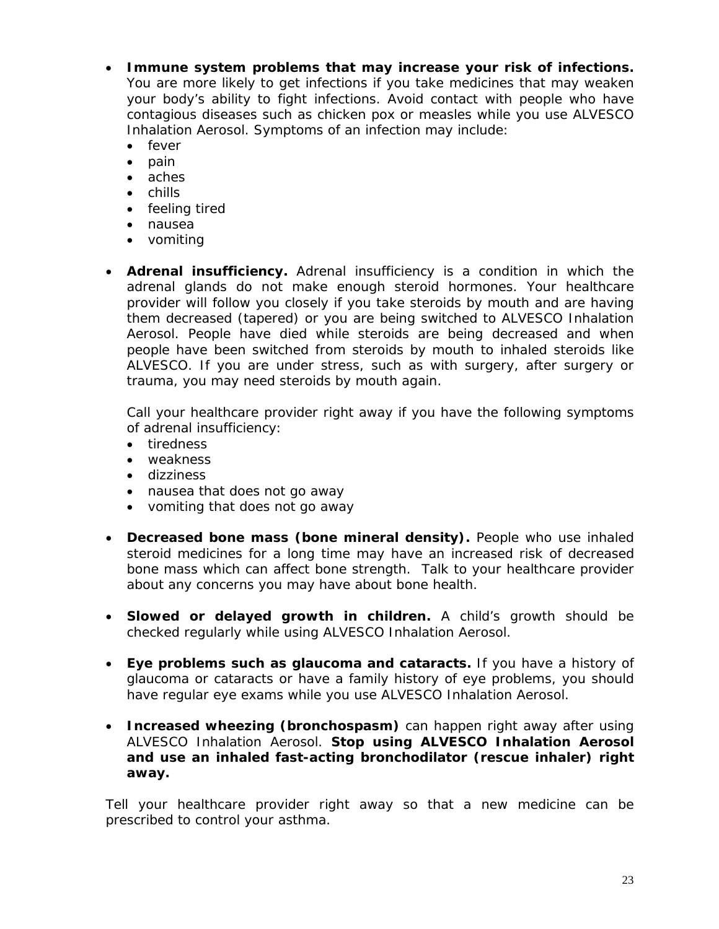- **Immune system problems that may increase your risk of infections.**  You are more likely to get infections if you take medicines that may weaken your body's ability to fight infections. Avoid contact with people who have contagious diseases such as chicken pox or measles while you use ALVESCO Inhalation Aerosol. Symptoms of an infection may include:
	- fever
	- pain
	- aches
	- chills
	- feeling tired
	- nausea
	- vomiting
- **Adrenal insufficiency.** Adrenal insufficiency is a condition in which the adrenal glands do not make enough steroid hormones. Your healthcare provider will follow you closely if you take steroids by mouth and are having them decreased (tapered) or you are being switched to ALVESCO Inhalation Aerosol. People have died while steroids are being decreased and when people have been switched from steroids by mouth to inhaled steroids like ALVESCO. If you are under stress, such as with surgery, after surgery or trauma, you may need steroids by mouth again.

Call your healthcare provider right away if you have the following symptoms of adrenal insufficiency:

- tiredness
- weakness
- dizziness
- nausea that does not go away
- vomiting that does not go away
- **Decreased bone mass (bone mineral density).** People who use inhaled steroid medicines for a long time may have an increased risk of decreased bone mass which can affect bone strength. Talk to your healthcare provider about any concerns you may have about bone health.
- **Slowed or delayed growth in children.** A child's growth should be checked regularly while using ALVESCO Inhalation Aerosol.
- **Eye problems such as glaucoma and cataracts.** If you have a history of glaucoma or cataracts or have a family history of eye problems, you should have regular eye exams while you use ALVESCO Inhalation Aerosol.
- **Increased wheezing (bronchospasm)** can happen right away after using ALVESCO Inhalation Aerosol. **Stop using ALVESCO Inhalation Aerosol and use an inhaled fast-acting bronchodilator (rescue inhaler) right away.**

Tell your healthcare provider right away so that a new medicine can be prescribed to control your asthma.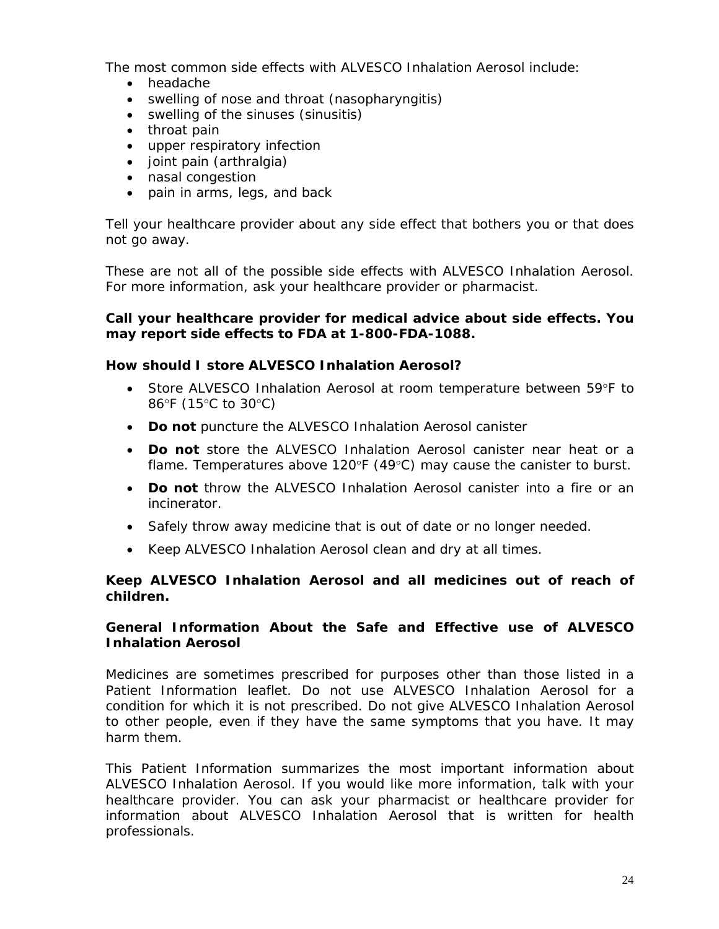The most common side effects with ALVESCO Inhalation Aerosol include:

- headache
- swelling of nose and throat (nasopharyngitis)
- swelling of the sinuses (sinusitis)
- throat pain
- upper respiratory infection
- joint pain (arthralgia)
- nasal congestion
- pain in arms, legs, and back

Tell your healthcare provider about any side effect that bothers you or that does not go away.

These are not all of the possible side effects with ALVESCO Inhalation Aerosol. For more information, ask your healthcare provider or pharmacist.

### **Call your healthcare provider for medical advice about side effects. You may report side effects to FDA at 1-800-FDA-1088.**

### **How should I store ALVESCO Inhalation Aerosol?**

- Store ALVESCO Inhalation Aerosol at room temperature between 59°F to 86°F (15°C to 30°C)
- **Do not** puncture the ALVESCO Inhalation Aerosol canister
- **Do not** store the ALVESCO Inhalation Aerosol canister near heat or a flame. Temperatures above 120 $\textdegree$ F (49 $\textdegree$ C) may cause the canister to burst.
- **Do not** throw the ALVESCO Inhalation Aerosol canister into a fire or an incinerator.
- Safely throw away medicine that is out of date or no longer needed.
- Keep ALVESCO Inhalation Aerosol clean and dry at all times.

# **Keep ALVESCO Inhalation Aerosol and all medicines out of reach of children.**

### **General Information About the Safe and Effective use of ALVESCO Inhalation Aerosol**

Medicines are sometimes prescribed for purposes other than those listed in a Patient Information leaflet. Do not use ALVESCO Inhalation Aerosol for a condition for which it is not prescribed. Do not give ALVESCO Inhalation Aerosol to other people, even if they have the same symptoms that you have. It may harm them.

This Patient Information summarizes the most important information about ALVESCO Inhalation Aerosol. If you would like more information, talk with your healthcare provider. You can ask your pharmacist or healthcare provider for information about ALVESCO Inhalation Aerosol that is written for health professionals.